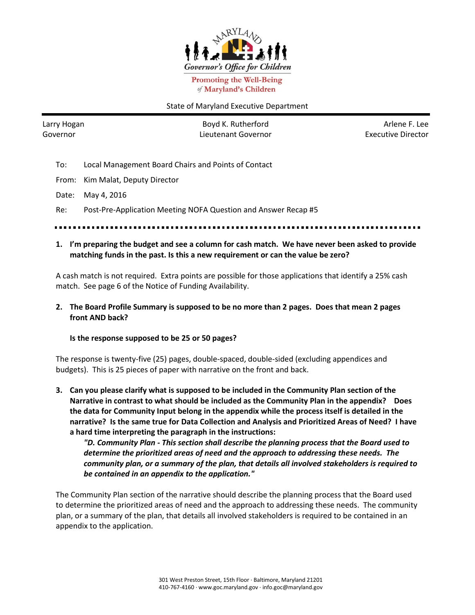

**Promoting the Well-Being** of Maryland's Children

## State of Maryland Executive Department

Larry Hogan Governor

Boyd K. Rutherford Lieutenant Governor

Arlene F. Lee Executive Director

- To: Local Management Board Chairs and Points of Contact
- From: Kim Malat, Deputy Director
- Date: May 4, 2016

Re: Post-Pre-Application Meeting NOFA Question and Answer Recap #5

- 
- **1. I'm preparing the budget and see a column for cash match. We have never been asked to provide matching funds in the past. Is this a new requirement or can the value be zero?**

A cash match is not required. Extra points are possible for those applications that identify a 25% cash match. See page 6 of the Notice of Funding Availability.

**2. The Board Profile Summary is supposed to be no more than 2 pages. Does that mean 2 pages front AND back?**

#### **Is the response supposed to be 25 or 50 pages?**

The response is twenty-five (25) pages, double-spaced, double-sided (excluding appendices and budgets). This is 25 pieces of paper with narrative on the front and back.

**3. Can you please clarify what is supposed to be included in the Community Plan section of the Narrative in contrast to what should be included as the Community Plan in the appendix? Does the data for Community Input belong in the appendix while the process itself is detailed in the narrative? Is the same true for Data Collection and Analysis and Prioritized Areas of Need? I have a hard time interpreting the paragraph in the instructions:**

*"D. Community Plan - This section shall describe the planning process that the Board used to determine the prioritized areas of need and the approach to addressing these needs. The community plan, or a summary of the plan, that details all involved stakeholders is required to be contained in an appendix to the application."*

The Community Plan section of the narrative should describe the planning process that the Board used to determine the prioritized areas of need and the approach to addressing these needs. The community plan, or a summary of the plan, that details all involved stakeholders is required to be contained in an appendix to the application.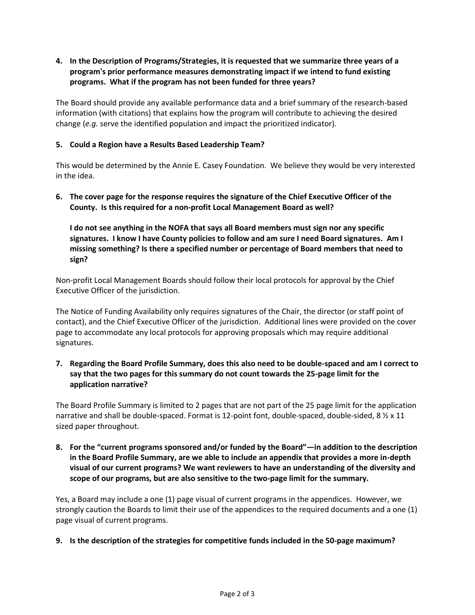# **4. In the Description of Programs/Strategies, it is requested that we summarize three years of a program's prior performance measures demonstrating impact if we intend to fund existing programs. What if the program has not been funded for three years?**

The Board should provide any available performance data and a brief summary of the research-based information (with citations) that explains how the program will contribute to achieving the desired change (*e.g.* serve the identified population and impact the prioritized indicator).

## **5. Could a Region have a Results Based Leadership Team?**

This would be determined by the Annie E. Casey Foundation. We believe they would be very interested in the idea.

**6. The cover page for the response requires the signature of the Chief Executive Officer of the County. Is this required for a non-profit Local Management Board as well?** 

**I do not see anything in the NOFA that says all Board members must sign nor any specific signatures. I know I have County policies to follow and am sure I need Board signatures. Am I missing something? Is there a specified number or percentage of Board members that need to sign?**

Non-profit Local Management Boards should follow their local protocols for approval by the Chief Executive Officer of the jurisdiction.

The Notice of Funding Availability only requires signatures of the Chair, the director (or staff point of contact), and the Chief Executive Officer of the jurisdiction. Additional lines were provided on the cover page to accommodate any local protocols for approving proposals which may require additional signatures.

**7. Regarding the Board Profile Summary, does this also need to be double-spaced and am I correct to say that the two pages for this summary do not count towards the 25-page limit for the application narrative?**

The Board Profile Summary is limited to 2 pages that are not part of the 25 page limit for the application narrative and shall be double-spaced. Format is 12-point font, double-spaced, double-sided, 8  $\frac{1}{2}$  x 11 sized paper throughout.

**8. For the "current programs sponsored and/or funded by the Board"—in addition to the description in the Board Profile Summary, are we able to include an appendix that provides a more in-depth visual of our current programs? We want reviewers to have an understanding of the diversity and scope of our programs, but are also sensitive to the two-page limit for the summary.**

Yes, a Board may include a one (1) page visual of current programs in the appendices. However, we strongly caution the Boards to limit their use of the appendices to the required documents and a one (1) page visual of current programs.

**9. Is the description of the strategies for competitive funds included in the 50-page maximum?**